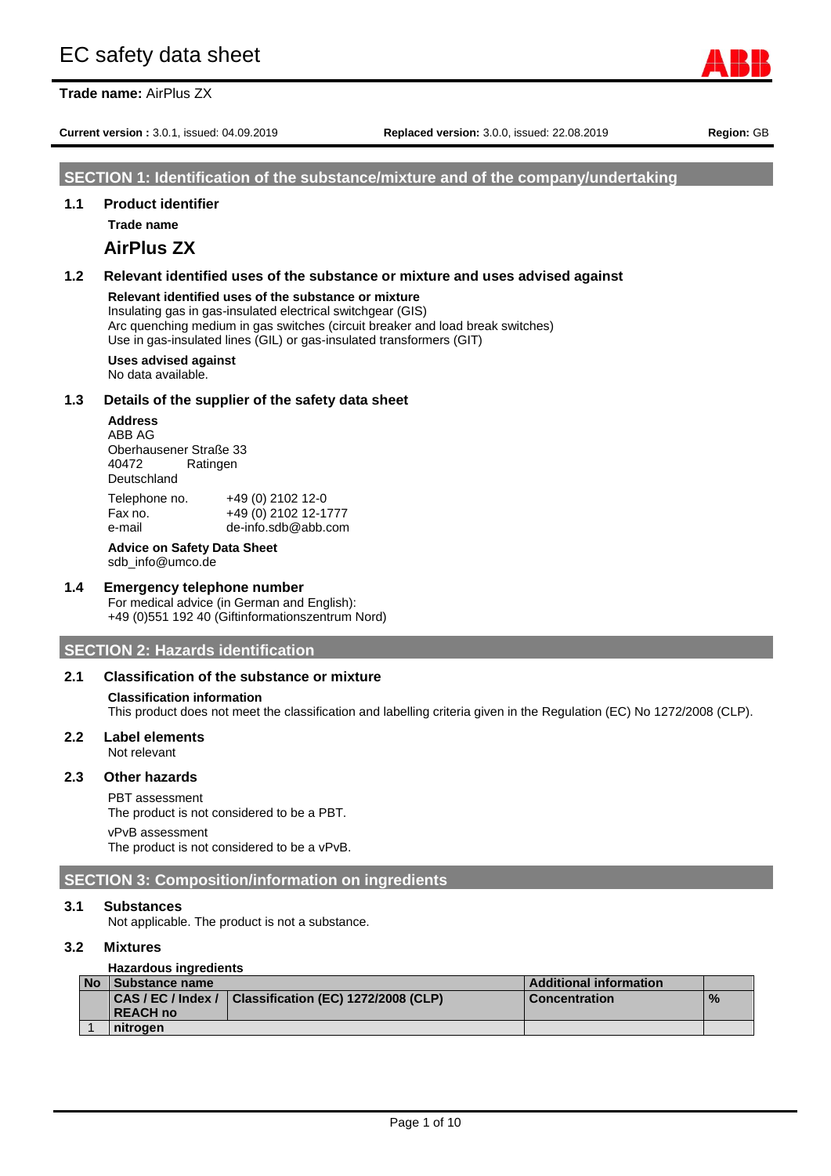**Trade name:** AirPlus ZX

**Current version :** 3.0.1, issued: 04.09.2019 **Replaced version:** 3.0.0, issued: 22.08.2019 **Region:** GB

#### **SECTION 1: Identification of the substance/mixture and of the company/undertaking**

#### **1.1 Product identifier**

**Trade name**

# **AirPlus ZX**

# **1.2 Relevant identified uses of the substance or mixture and uses advised against**

#### **Relevant identified uses of the substance or mixture**

Insulating gas in gas-insulated electrical switchgear (GIS) Arc quenching medium in gas switches (circuit breaker and load break switches) Use in gas-insulated lines (GIL) or gas-insulated transformers (GIT)

### **Uses advised against**

No data available.

#### **1.3 Details of the supplier of the safety data sheet**

**Address** ABB AG Oberhausener Straße 33 Ratingen Deutschland Telephone no. +49 (0) 2102 12-0<br>Fax no. +49 (0) 2102 12-1 Fax no. +49 (0) 2102 12-1777

e-mail de-info.sdb@abb.com

**Advice on Safety Data Sheet** sdb\_info@umco.de

#### **1.4 Emergency telephone number**

For medical advice (in German and English): +49 (0)551 192 40 (Giftinformationszentrum Nord)

#### **SECTION 2: Hazards identification**

#### **2.1 Classification of the substance or mixture**

#### **Classification information**

This product does not meet the classification and labelling criteria given in the Regulation (EC) No 1272/2008 (CLP).

#### **2.2 Label elements** Not relevant

# **2.3 Other hazards**

# PBT assessment

The product is not considered to be a PBT. vPvB assessment

The product is not considered to be a vPvB.

#### **SECTION 3: Composition/information on ingredients**

#### **3.1 Substances**

Not applicable. The product is not a substance.

#### **3.2 Mixtures**

#### **Hazardous ingredients**

| No Substance name |                                                        | <b>Additional information</b> |               |
|-------------------|--------------------------------------------------------|-------------------------------|---------------|
|                   | CAS / EC / Index / Classification (EC) 1272/2008 (CLP) | <b>Concentration</b>          | $\frac{9}{6}$ |
| <b>REACH no</b>   |                                                        |                               |               |
| nitrogen          |                                                        |                               |               |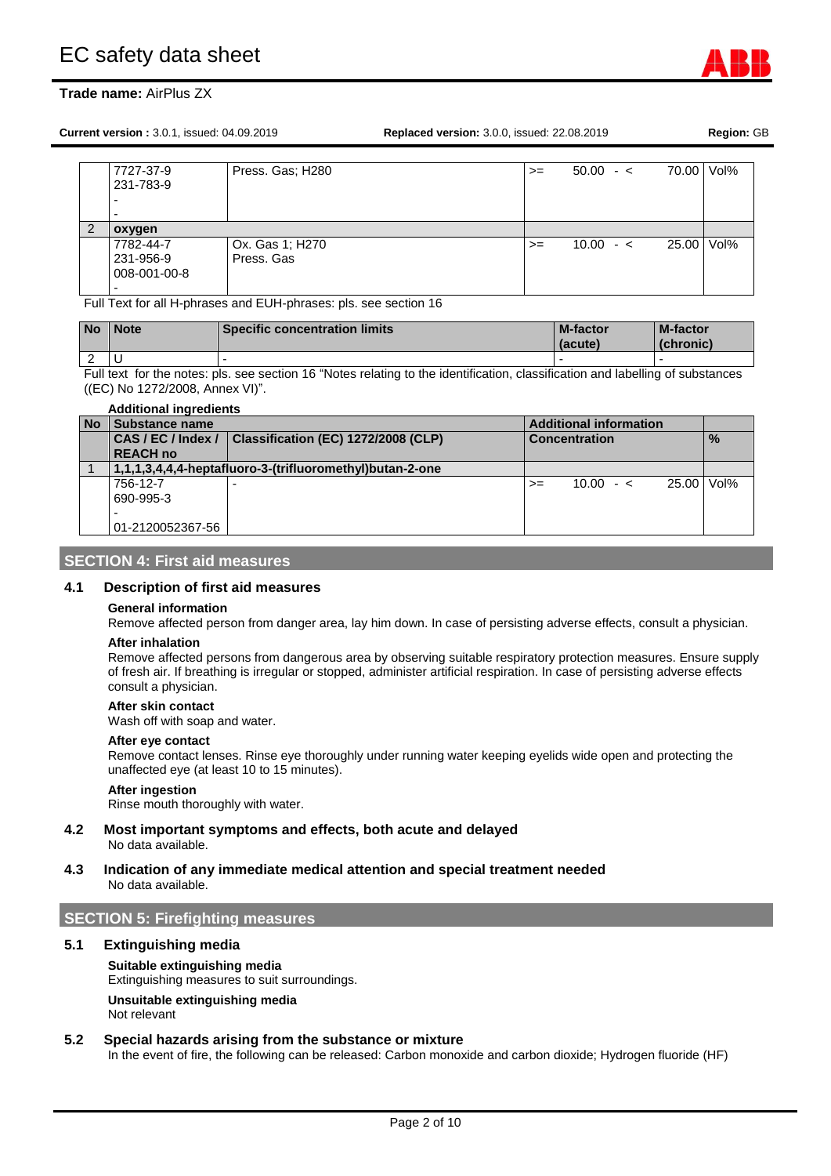**Current version :** 3.0.1, issued: 04.09.2019 **Replaced version:** 3.0.0, issued: 22.08.2019 **Region:** GB

| 7727-37-9         | Press. Gas; H280 | $>=$ | $50.00 - c$ | 70.00 Vol% |  |
|-------------------|------------------|------|-------------|------------|--|
| 231-783-9         |                  |      |             |            |  |
| -                 |                  |      |             |            |  |
|                   |                  |      |             |            |  |
| -                 |                  |      |             |            |  |
|                   |                  |      |             |            |  |
| oxygen            |                  |      |             |            |  |
| 7782-44-7         | Ox. Gas 1; H270  | $>=$ | $10.00 - c$ | 25.00 Vol% |  |
| 231-956-9         | Press, Gas       |      |             |            |  |
|                   |                  |      |             |            |  |
| 008-001-00-8<br>- |                  |      |             |            |  |

Full Text for all H-phrases and EUH-phrases: pls. see section 16

| <b>No</b>   | <b>Note</b> | <b>Specific concentration limits</b> | <b>M-factor</b><br>(acute) | <b>M-factor</b><br>(chronic) |
|-------------|-------------|--------------------------------------|----------------------------|------------------------------|
| $\sim$<br>_ |             |                                      |                            |                              |

Full text for the notes: pls. see section 16 "Notes relating to the identification, classification and labelling of substances ((EC) No 1272/2008, Annex VI)".

| <b>Additional ingredients</b> |                                                                                   |                                                          |                               |               |            |  |
|-------------------------------|-----------------------------------------------------------------------------------|----------------------------------------------------------|-------------------------------|---------------|------------|--|
| <b>No</b>                     | Substance name                                                                    |                                                          | <b>Additional information</b> |               |            |  |
|                               | Classification (EC) 1272/2008 (CLP)<br>CAS / EC / Index /<br><b>Concentration</b> |                                                          |                               | $\frac{9}{6}$ |            |  |
|                               | <b>REACH no</b>                                                                   |                                                          |                               |               |            |  |
|                               |                                                                                   | 1,1,1,3,4,4,4-heptafluoro-3-(trifluoromethyl)butan-2-one |                               |               |            |  |
|                               | 756-12-7                                                                          |                                                          | $>=$                          | $10.00 - c$   | 25.00 Vol% |  |
|                               | 690-995-3                                                                         |                                                          |                               |               |            |  |
|                               |                                                                                   |                                                          |                               |               |            |  |
|                               | 01-2120052367-56                                                                  |                                                          |                               |               |            |  |

### **SECTION 4: First aid measures**

#### **4.1 Description of first aid measures**

#### **General information**

Remove affected person from danger area, lay him down. In case of persisting adverse effects, consult a physician.

#### **After inhalation**

Remove affected persons from dangerous area by observing suitable respiratory protection measures. Ensure supply of fresh air. If breathing is irregular or stopped, administer artificial respiration. In case of persisting adverse effects consult a physician.

#### **After skin contact**

Wash off with soap and water.

#### **After eye contact**

Remove contact lenses. Rinse eye thoroughly under running water keeping eyelids wide open and protecting the unaffected eye (at least 10 to 15 minutes).

#### **After ingestion**

Rinse mouth thoroughly with water.

#### **4.2 Most important symptoms and effects, both acute and delayed**

No data available.

#### **4.3 Indication of any immediate medical attention and special treatment needed** No data available.

# **SECTION 5: Firefighting measures**

#### **5.1 Extinguishing media**

#### **Suitable extinguishing media**

Extinguishing measures to suit surroundings.

**Unsuitable extinguishing media** Not relevant

#### **5.2 Special hazards arising from the substance or mixture**

In the event of fire, the following can be released: Carbon monoxide and carbon dioxide; Hydrogen fluoride (HF)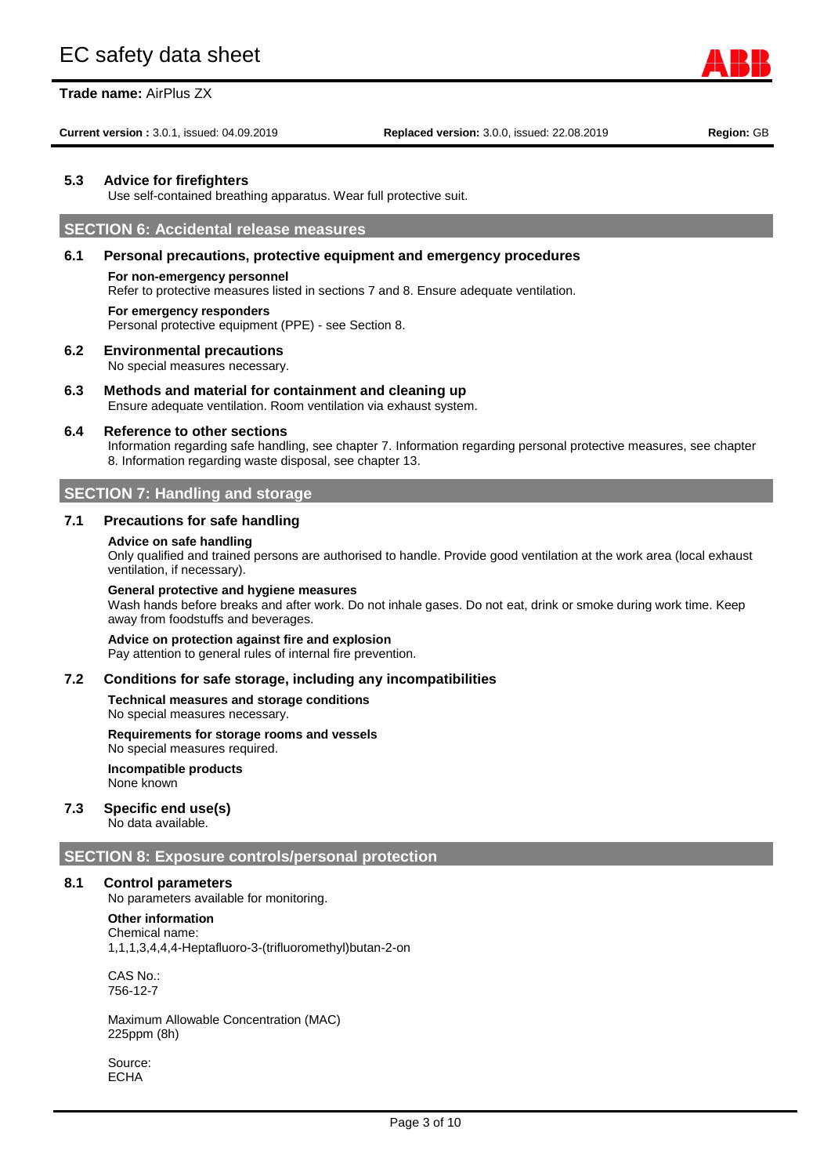**Current version :** 3.0.1, issued: 04.09.2019 **Replaced version:** 3.0.0, issued: 22.08.2019 **Region:** GB

#### **5.3 Advice for firefighters**

Use self-contained breathing apparatus. Wear full protective suit.

# **SECTION 6: Accidental release measures**

#### **6.1 Personal precautions, protective equipment and emergency procedures**

#### **For non-emergency personnel**

Refer to protective measures listed in sections 7 and 8. Ensure adequate ventilation.

#### **For emergency responders**

Personal protective equipment (PPE) - see Section 8.

#### **6.2 Environmental precautions**

No special measures necessary.

#### **6.3 Methods and material for containment and cleaning up** Ensure adequate ventilation. Room ventilation via exhaust system.

#### **6.4 Reference to other sections**

Information regarding safe handling, see chapter 7. Information regarding personal protective measures, see chapter 8. Information regarding waste disposal, see chapter 13.

# **SECTION 7: Handling and storage**

#### **7.1 Precautions for safe handling**

#### **Advice on safe handling**

Only qualified and trained persons are authorised to handle. Provide good ventilation at the work area (local exhaust ventilation, if necessary).

#### **General protective and hygiene measures**

Wash hands before breaks and after work. Do not inhale gases. Do not eat, drink or smoke during work time. Keep away from foodstuffs and beverages.

**Advice on protection against fire and explosion** Pay attention to general rules of internal fire prevention.

#### **7.2 Conditions for safe storage, including any incompatibilities**

**Technical measures and storage conditions** No special measures necessary.

#### **Requirements for storage rooms and vessels**

No special measures required. **Incompatible products**

None known

# **7.3 Specific end use(s)**

No data available.

#### **SECTION 8: Exposure controls/personal protection**

#### **8.1 Control parameters**

No parameters available for monitoring.

#### **Other information**

Chemical name: 1,1,1,3,4,4,4-Heptafluoro-3-(trifluoromethyl)butan-2-on

CAS No.: 756-12-7

Maximum Allowable Concentration (MAC) 225ppm (8h)

Source: ECHA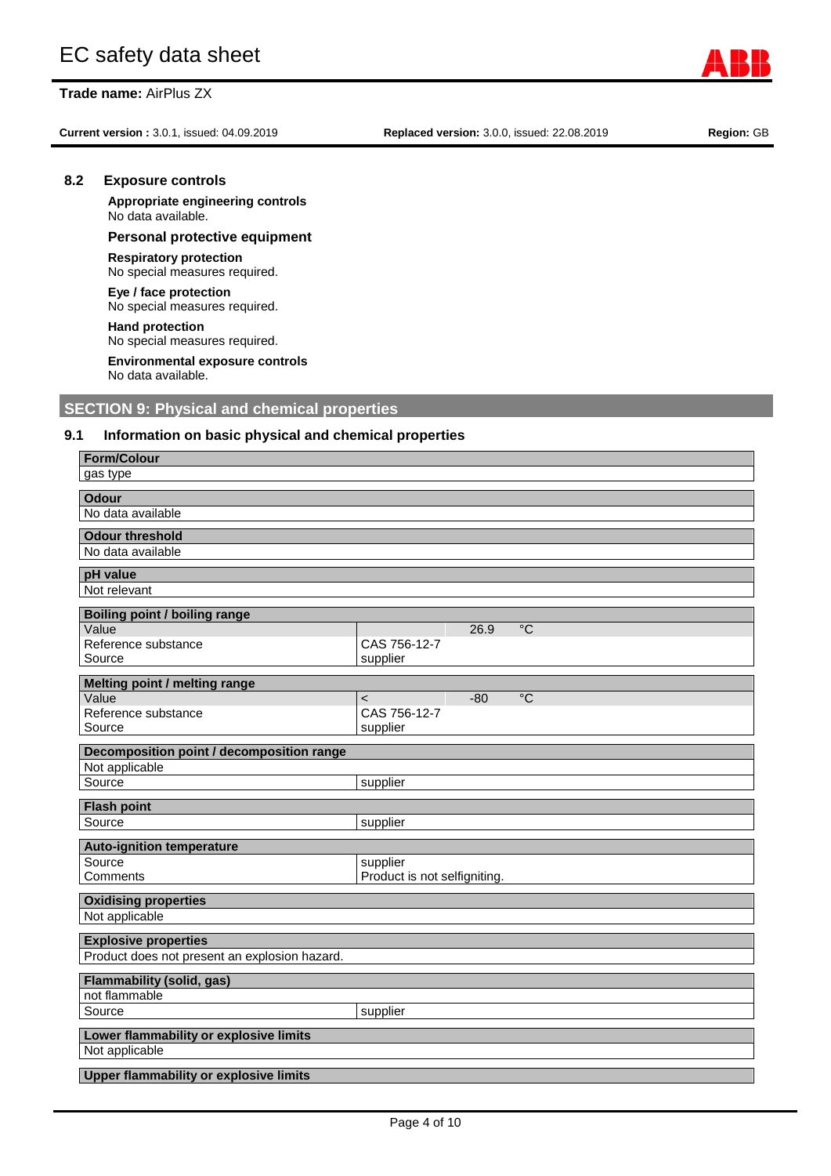**8.2 Exposure controls**

No data available.

**Respiratory protection** No special measures required.

**Eye / face protection**

**Hand protection**

No data available.

No special measures required.

No special measures required. **Environmental exposure controls**

**Current version :** 3.0.1, issued: 04.09.2019 **Replaced version:** 3.0.0, issued: 22.08.2019 **Region:** GB

**Appropriate engineering controls**

**Personal protective equipment**

#### **Upper flammability or explosive limits**

| Page 4 of 10 |  |  |
|--------------|--|--|

| 9.1<br>Information on basic physical and chemical properties |                                           |  |  |  |
|--------------------------------------------------------------|-------------------------------------------|--|--|--|
| <b>Form/Colour</b>                                           |                                           |  |  |  |
| gas type                                                     |                                           |  |  |  |
| <b>Odour</b>                                                 |                                           |  |  |  |
| No data available                                            |                                           |  |  |  |
| <b>Odour threshold</b>                                       |                                           |  |  |  |
| No data available                                            |                                           |  |  |  |
| pH value                                                     |                                           |  |  |  |
| Not relevant                                                 |                                           |  |  |  |
| <b>Boiling point / boiling range</b>                         |                                           |  |  |  |
| Value<br>Reference substance                                 | $\overline{C}$<br>26.9<br>CAS 756-12-7    |  |  |  |
| Source                                                       | supplier                                  |  |  |  |
| Melting point / melting range                                |                                           |  |  |  |
| Value                                                        | $\overline{C}$<br>$-80$<br>$\overline{a}$ |  |  |  |
| Reference substance                                          | CAS 756-12-7                              |  |  |  |
| Source                                                       | supplier                                  |  |  |  |
| Decomposition point / decomposition range                    |                                           |  |  |  |
| Not applicable                                               |                                           |  |  |  |
| Source                                                       | supplier                                  |  |  |  |
|                                                              |                                           |  |  |  |
| <b>Flash point</b>                                           |                                           |  |  |  |
| Source                                                       | supplier                                  |  |  |  |
| <b>Auto-ignition temperature</b>                             |                                           |  |  |  |
| Source                                                       | supplier                                  |  |  |  |
| Comments                                                     | Product is not selfigniting.              |  |  |  |
| <b>Oxidising properties</b>                                  |                                           |  |  |  |
| Not applicable                                               |                                           |  |  |  |
| <b>Explosive properties</b>                                  |                                           |  |  |  |
| Product does not present an explosion hazard.                |                                           |  |  |  |
| <b>Flammability (solid, gas)</b>                             |                                           |  |  |  |
| not flammable                                                |                                           |  |  |  |
| Source                                                       | supplier                                  |  |  |  |



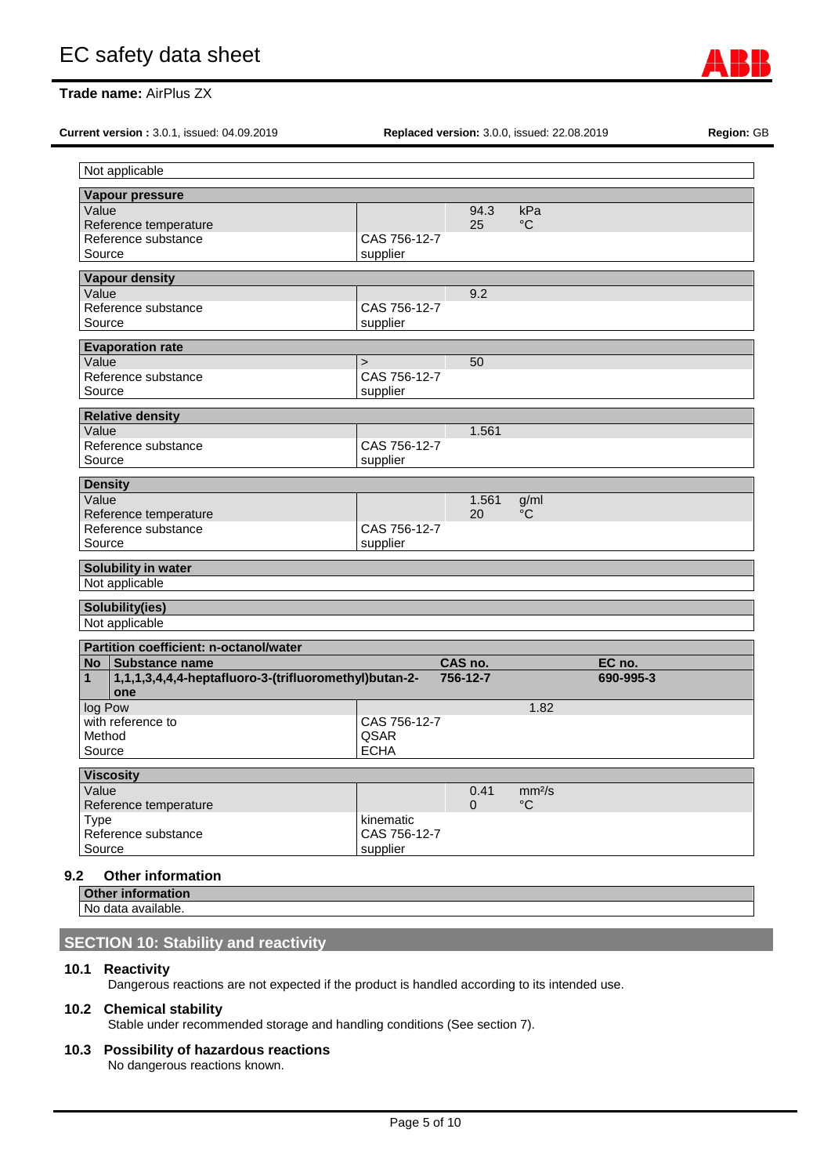**Current version :** 3.0.1, issued: 04.09.2019 **Replaced version:** 3.0.0, issued: 22.08.2019 **Region:** GB

| Vapour pressure                                                       |              |          |                    |           |  |
|-----------------------------------------------------------------------|--------------|----------|--------------------|-----------|--|
| Value                                                                 |              | 94.3     | kPa                |           |  |
| Reference temperature                                                 |              | 25       | $^{\circ}C$        |           |  |
| Reference substance                                                   | CAS 756-12-7 |          |                    |           |  |
| Source                                                                | supplier     |          |                    |           |  |
| <b>Vapour density</b>                                                 |              |          |                    |           |  |
| $\overline{\text{Value}}$                                             |              | 9.2      |                    |           |  |
| Reference substance                                                   | CAS 756-12-7 |          |                    |           |  |
| Source                                                                | supplier     |          |                    |           |  |
| <b>Evaporation rate</b>                                               |              |          |                    |           |  |
| Value                                                                 | $\geq$       | 50       |                    |           |  |
| Reference substance                                                   | CAS 756-12-7 |          |                    |           |  |
| Source                                                                | supplier     |          |                    |           |  |
| <b>Relative density</b>                                               |              |          |                    |           |  |
| Value                                                                 |              | 1.561    |                    |           |  |
| Reference substance                                                   | CAS 756-12-7 |          |                    |           |  |
| Source                                                                | supplier     |          |                    |           |  |
| <b>Density</b>                                                        |              |          |                    |           |  |
| Value                                                                 |              | 1.561    | g/ml               |           |  |
| Reference temperature                                                 |              | 20       | °C                 |           |  |
| Reference substance                                                   | CAS 756-12-7 |          |                    |           |  |
| Source                                                                | supplier     |          |                    |           |  |
| Solubility in water                                                   |              |          |                    |           |  |
| Not applicable                                                        |              |          |                    |           |  |
|                                                                       |              |          |                    |           |  |
| Solubility(ies)                                                       |              |          |                    |           |  |
| Not applicable                                                        |              |          |                    |           |  |
| <b>Partition coefficient: n-octanol/water</b>                         |              |          |                    |           |  |
| No   Substance name                                                   |              | CAS no.  |                    | EC no.    |  |
| 1,1,1,3,4,4,4-heptafluoro-3-(trifluoromethyl)butan-2-<br>$\mathbf{1}$ |              | 756-12-7 |                    | 690-995-3 |  |
| one<br>log Pow                                                        |              |          | 1.82               |           |  |
| with reference to                                                     | CAS 756-12-7 |          |                    |           |  |
| Method                                                                | QSAR         |          |                    |           |  |
| Source                                                                | <b>ECHA</b>  |          |                    |           |  |
|                                                                       |              |          |                    |           |  |
| <b>Viscosity</b><br>Value                                             |              | 0.41     | mm <sup>2</sup> /s |           |  |
| Reference temperature                                                 |              | $\Omega$ | $^{\circ}C$        |           |  |
| Type                                                                  | kinematic    |          |                    |           |  |
|                                                                       | CAS 756-12-7 |          |                    |           |  |
|                                                                       |              |          |                    |           |  |
| Reference substance<br>Source                                         | supplier     |          |                    |           |  |

**Other information** No data available.

# **SECTION 10: Stability and reactivity**

# **10.1 Reactivity**

Dangerous reactions are not expected if the product is handled according to its intended use.

# **10.2 Chemical stability**

Stable under recommended storage and handling conditions (See section 7).

# **10.3 Possibility of hazardous reactions**

No dangerous reactions known.

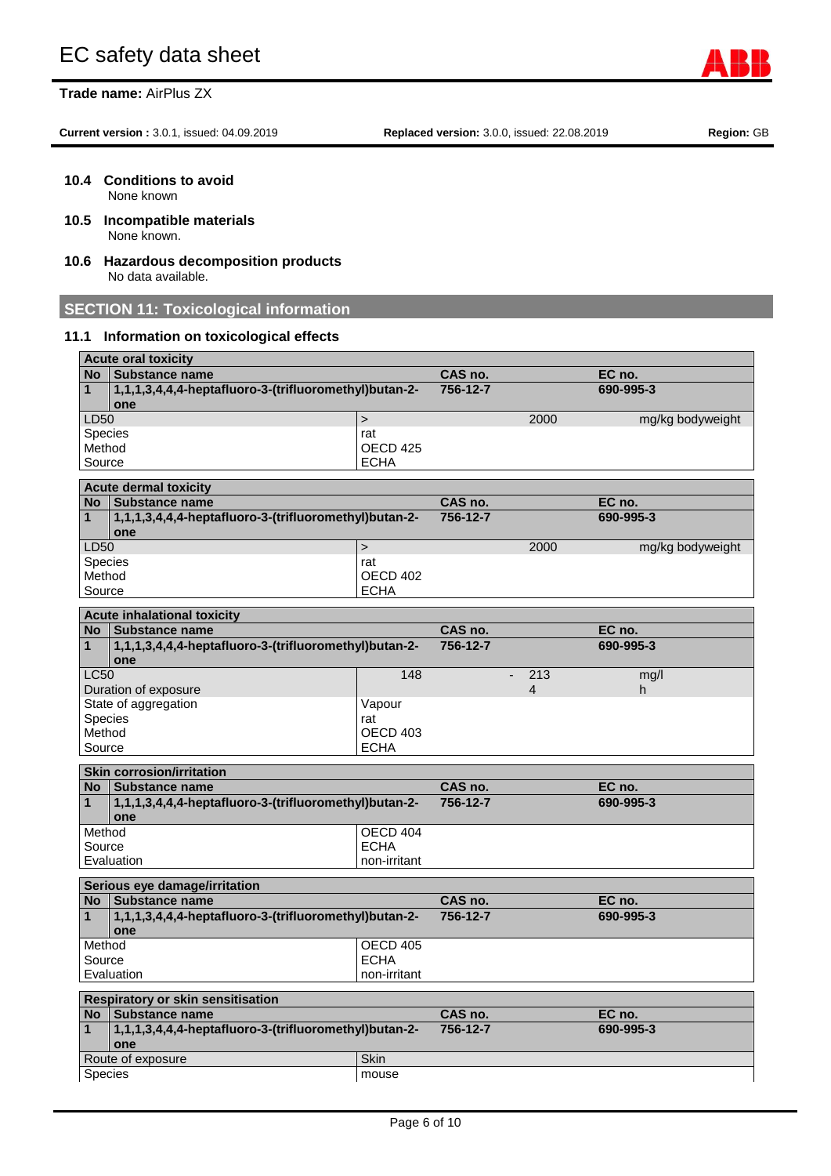**Current version :** 3.0.1, issued: 04.09.2019 **Replaced version:** 3.0.0, issued: 22.08.2019 **Region:** GB

- **10.4 Conditions to avoid** None known
- **10.5 Incompatible materials** None known.
- **10.6 Hazardous decomposition products** No data available.

# **SECTION 11: Toxicological information**

# **11.1 Information on toxicological effects**

|                | <b>Acute oral toxicity</b>                             |                     |          |                |                  |
|----------------|--------------------------------------------------------|---------------------|----------|----------------|------------------|
| <b>No</b>      | <b>Substance name</b>                                  |                     | CAS no.  |                | EC no.           |
| $\mathbf{1}$   | 1,1,1,3,4,4.4-heptafluoro-3-(trifluoromethyl)butan-2-  |                     | 756-12-7 |                | 690-995-3        |
|                | one                                                    |                     |          |                |                  |
| LD50           |                                                        | $\geq$              |          | 2000           | mg/kg bodyweight |
| Species        |                                                        | rat                 |          |                |                  |
| Method         |                                                        | OECD <sub>425</sub> |          |                |                  |
| Source         |                                                        | <b>ECHA</b>         |          |                |                  |
|                | <b>Acute dermal toxicity</b>                           |                     |          |                |                  |
| No.            | <b>Substance name</b>                                  |                     | CAS no.  |                | EC no.           |
| 1              | 1,1,1,3,4,4,4-heptafluoro-3-(trifluoromethyl)butan-2-  |                     | 756-12-7 |                | 690-995-3        |
|                | one                                                    |                     |          |                |                  |
| LD50           |                                                        | $\geq$              |          | 2000           | mg/kg bodyweight |
| <b>Species</b> |                                                        | rat                 |          |                |                  |
| Method         |                                                        | OECD 402            |          |                |                  |
| Source         |                                                        | <b>ECHA</b>         |          |                |                  |
|                | <b>Acute inhalational toxicity</b>                     |                     |          |                |                  |
| No             | Substance name                                         |                     | CAS no.  |                | EC no.           |
| $\mathbf{1}$   | 1,1,1,3,4,4,4-heptafluoro-3-(trifluoromethyl)butan-2-  |                     | 756-12-7 |                | 690-995-3        |
|                | one                                                    |                     |          |                |                  |
| <b>LC50</b>    |                                                        | 148                 |          | 213            | mq/l             |
|                | Duration of exposure                                   |                     |          | $\overline{4}$ | h                |
|                | State of aggregation                                   | Vapour              |          |                |                  |
| Species        |                                                        | rat                 |          |                |                  |
| Method         |                                                        | OECD 403            |          |                |                  |
| Source         |                                                        | <b>ECHA</b>         |          |                |                  |
|                | <b>Skin corrosion/irritation</b>                       |                     |          |                |                  |
| No             | <b>Substance name</b>                                  |                     | CAS no.  |                | EC no.           |
| $\mathbf{1}$   | 1,1,1,3,4,4,4-heptafluoro-3-(trifluoromethyl)butan-2-  |                     | 756-12-7 |                | 690-995-3        |
|                | one                                                    |                     |          |                |                  |
| Method         |                                                        | OECD 404            |          |                |                  |
| Source         |                                                        | <b>ECHA</b>         |          |                |                  |
|                | Evaluation                                             | non-irritant        |          |                |                  |
|                |                                                        |                     |          |                |                  |
| <b>No</b>      | Serious eye damage/irritation<br><b>Substance name</b> |                     | CAS no.  |                | EC no.           |
| 1              | 1,1,1,3,4,4,4-heptafluoro-3-(trifluoromethyl)butan-2-  |                     | 756-12-7 |                | 690-995-3        |
|                | one                                                    |                     |          |                |                  |
| Method         |                                                        | <b>OECD 405</b>     |          |                |                  |
| Source         |                                                        | <b>ECHA</b>         |          |                |                  |
|                | Evaluation                                             | non-irritant        |          |                |                  |
|                | Respiratory or skin sensitisation                      |                     |          |                |                  |
| No             | Substance name                                         |                     | CAS no.  |                | EC no.           |
| $\mathbf{1}$   | 1,1,1,3,4,4,4-heptafluoro-3-(trifluoromethyl)butan-2-  |                     | 756-12-7 |                | 690-995-3        |
|                | one                                                    |                     |          |                |                  |
|                | Route of exposure                                      | Skin                |          |                |                  |
| <b>Species</b> |                                                        | mouse               |          |                |                  |
|                |                                                        |                     |          |                |                  |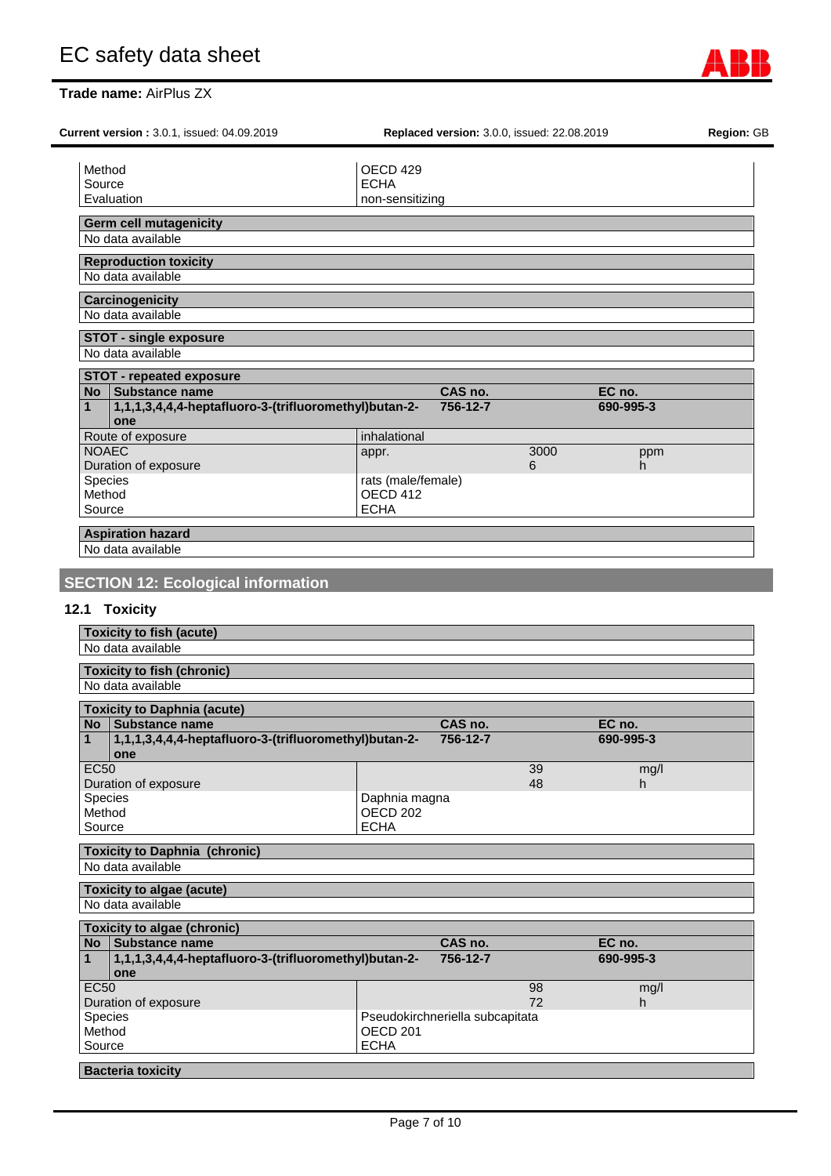| Current version: 3.0.1, issued: 04.09.2019                                   |                     | Replaced version: 3.0.0, issued: 22.08.2019 |           |           |  |
|------------------------------------------------------------------------------|---------------------|---------------------------------------------|-----------|-----------|--|
| Method                                                                       | OECD 429            |                                             |           |           |  |
| Source                                                                       | <b>ECHA</b>         |                                             |           |           |  |
| Evaluation                                                                   | non-sensitizing     |                                             |           |           |  |
|                                                                              |                     |                                             |           |           |  |
| <b>Germ cell mutagenicity</b><br>No data available                           |                     |                                             |           |           |  |
| <b>Reproduction toxicity</b><br>No data available                            |                     |                                             |           |           |  |
|                                                                              |                     |                                             |           |           |  |
| <b>Carcinogenicity</b><br>No data available                                  |                     |                                             |           |           |  |
| <b>STOT - single exposure</b>                                                |                     |                                             |           |           |  |
| No data available                                                            |                     |                                             |           |           |  |
| <b>STOT - repeated exposure</b><br>No Substance name                         |                     | CAS no.                                     |           | EC no.    |  |
| 1,1,1,3,4,4,4-heptafluoro-3-(trifluoromethyl)butan-2-<br>$\mathbf{1}$        |                     | 756-12-7                                    |           | 690-995-3 |  |
| one                                                                          |                     |                                             |           |           |  |
| Route of exposure<br><b>NOAEC</b>                                            | inhalational        |                                             |           |           |  |
| Duration of exposure                                                         | appr.               |                                             | 3000<br>6 | ppm<br>h. |  |
| Species                                                                      | rats (male/female)  |                                             |           |           |  |
| Method                                                                       | OECD 412            |                                             |           |           |  |
| Source                                                                       | <b>ECHA</b>         |                                             |           |           |  |
| <b>Aspiration hazard</b>                                                     |                     |                                             |           |           |  |
|                                                                              |                     |                                             |           |           |  |
|                                                                              |                     |                                             |           |           |  |
| No data available                                                            |                     |                                             |           |           |  |
|                                                                              |                     |                                             |           |           |  |
| <b>SECTION 12: Ecological information</b>                                    |                     |                                             |           |           |  |
| 12.1 Toxicity                                                                |                     |                                             |           |           |  |
| <b>Toxicity to fish (acute)</b>                                              |                     |                                             |           |           |  |
| No data available                                                            |                     |                                             |           |           |  |
|                                                                              |                     |                                             |           |           |  |
| <b>Toxicity to fish (chronic)</b><br>No data available                       |                     |                                             |           |           |  |
|                                                                              |                     |                                             |           |           |  |
| <b>Toxicity to Daphnia (acute)</b>                                           |                     |                                             |           |           |  |
| No <sub>1</sub><br><b>Substance name</b>                                     |                     | CAS no.                                     |           | EC no.    |  |
| 1,1,1,3,4,4,4-heptafluoro-3-(trifluoromethyl)butan-2-<br>$\mathbf{1}$<br>one |                     | 756-12-7                                    |           | 690-995-3 |  |
| <b>EC50</b>                                                                  |                     |                                             | 39        | mg/l      |  |
| Duration of exposure                                                         |                     |                                             | 48        | h.        |  |
| Species                                                                      | Daphnia magna       |                                             |           |           |  |
| Method                                                                       | OECD <sub>202</sub> |                                             |           |           |  |
| Source                                                                       | <b>ECHA</b>         |                                             |           |           |  |
|                                                                              |                     |                                             |           |           |  |
| <b>Toxicity to Daphnia (chronic)</b>                                         |                     |                                             |           |           |  |
| No data available                                                            |                     |                                             |           |           |  |
| <b>Toxicity to algae (acute)</b>                                             |                     |                                             |           |           |  |
| No data available                                                            |                     |                                             |           |           |  |
| <b>Toxicity to algae (chronic)</b>                                           |                     |                                             |           |           |  |
| No Substance name                                                            |                     | CAS no.                                     |           | EC no.    |  |
| 1,1,1,3,4,4,4-heptafluoro-3-(trifluoromethyl)butan-2-<br>1<br>one            |                     | 756-12-7                                    |           | 690-995-3 |  |
| <b>EC50</b>                                                                  |                     |                                             | 98        | mg/l      |  |
| Duration of exposure                                                         |                     |                                             | 72        | h.        |  |
| Species                                                                      |                     | Pseudokirchneriella subcapitata             |           |           |  |
| Method                                                                       | OECD <sub>201</sub> |                                             |           |           |  |
| Source                                                                       | <b>ECHA</b>         |                                             |           |           |  |

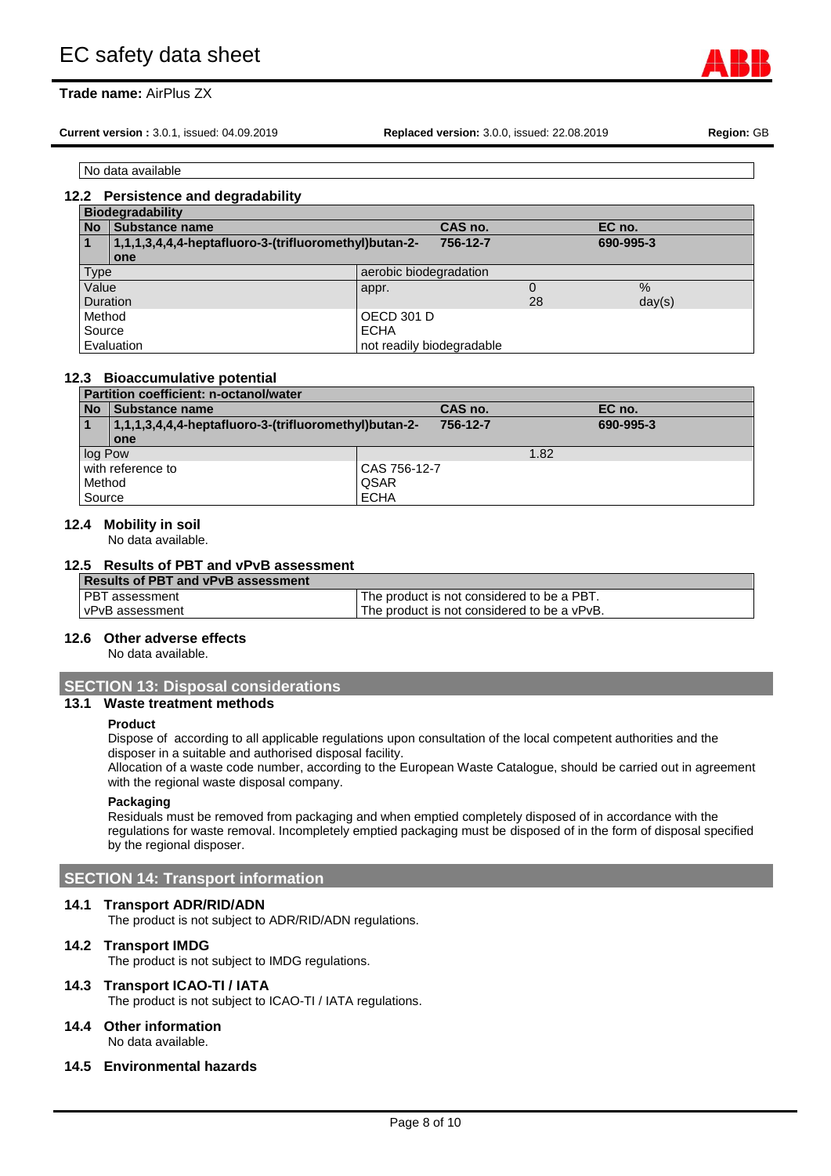# **Trade name:** AirPlus ZX

**Current version :** 3.0.1, issued: 04.09.2019 **Replaced version:** 3.0.0, issued: 22.08.2019 **Region:** GB

No data available

#### **12.2 Persistence and degradability**

|                         | <b>Biodegradability</b>                               |                           |          |    |               |  |
|-------------------------|-------------------------------------------------------|---------------------------|----------|----|---------------|--|
| <b>No</b>               | Substance name                                        |                           | CAS no.  |    | EC no.        |  |
| $\overline{\mathbf{1}}$ | 1,1,1,3,4,4,4-heptafluoro-3-(trifluoromethyl)butan-2- |                           | 756-12-7 |    | 690-995-3     |  |
|                         | one                                                   |                           |          |    |               |  |
| Type                    |                                                       | aerobic biodegradation    |          |    |               |  |
| Value                   |                                                       | appr.                     |          |    | $\frac{0}{0}$ |  |
| Duration                |                                                       |                           |          | 28 | day(s)        |  |
| Method                  |                                                       | <b>OECD 301 D</b>         |          |    |               |  |
| Source                  |                                                       | <b>ECHA</b>               |          |    |               |  |
|                         | Evaluation                                            | not readily biodegradable |          |    |               |  |

#### **12.3 Bioaccumulative potential**

|           | <b>Partition coefficient: n-octanol/water</b>         |              |           |  |  |
|-----------|-------------------------------------------------------|--------------|-----------|--|--|
| <b>No</b> | Substance name                                        | CAS no.      | EC no.    |  |  |
|           | 1,1,1,3,4,4,4-heptafluoro-3-(trifluoromethyl)butan-2- | 756-12-7     | 690-995-3 |  |  |
|           | one                                                   |              |           |  |  |
| log Pow   |                                                       | 1.82         |           |  |  |
|           | with reference to                                     | CAS 756-12-7 |           |  |  |
| Method    |                                                       | QSAR         |           |  |  |
| Source    |                                                       | <b>ECHA</b>  |           |  |  |

#### **12.4 Mobility in soil**

No data available.

#### **12.5 Results of PBT and vPvB assessment**

| Results of PBT and vPvB assessment |                                             |  |  |  |
|------------------------------------|---------------------------------------------|--|--|--|
| I PBT assessment                   | The product is not considered to be a PBT.  |  |  |  |
| vPvB assessment                    | The product is not considered to be a vPvB. |  |  |  |

#### **12.6 Other adverse effects**

No data available.

### **SECTION 13: Disposal considerations**

# **13.1 Waste treatment methods**

#### **Product**

Dispose of according to all applicable regulations upon consultation of the local competent authorities and the disposer in a suitable and authorised disposal facility.

Allocation of a waste code number, according to the European Waste Catalogue, should be carried out in agreement with the regional waste disposal company.

#### **Packaging**

Residuals must be removed from packaging and when emptied completely disposed of in accordance with the regulations for waste removal. Incompletely emptied packaging must be disposed of in the form of disposal specified by the regional disposer.

#### **SECTION 14: Transport information**

#### **14.1 Transport ADR/RID/ADN**

The product is not subject to ADR/RID/ADN regulations.

#### **14.2 Transport IMDG**

The product is not subject to IMDG regulations.

#### **14.3 Transport ICAO-TI / IATA**

The product is not subject to ICAO-TI / IATA regulations.

#### **14.4 Other information** No data available.

**14.5 Environmental hazards**

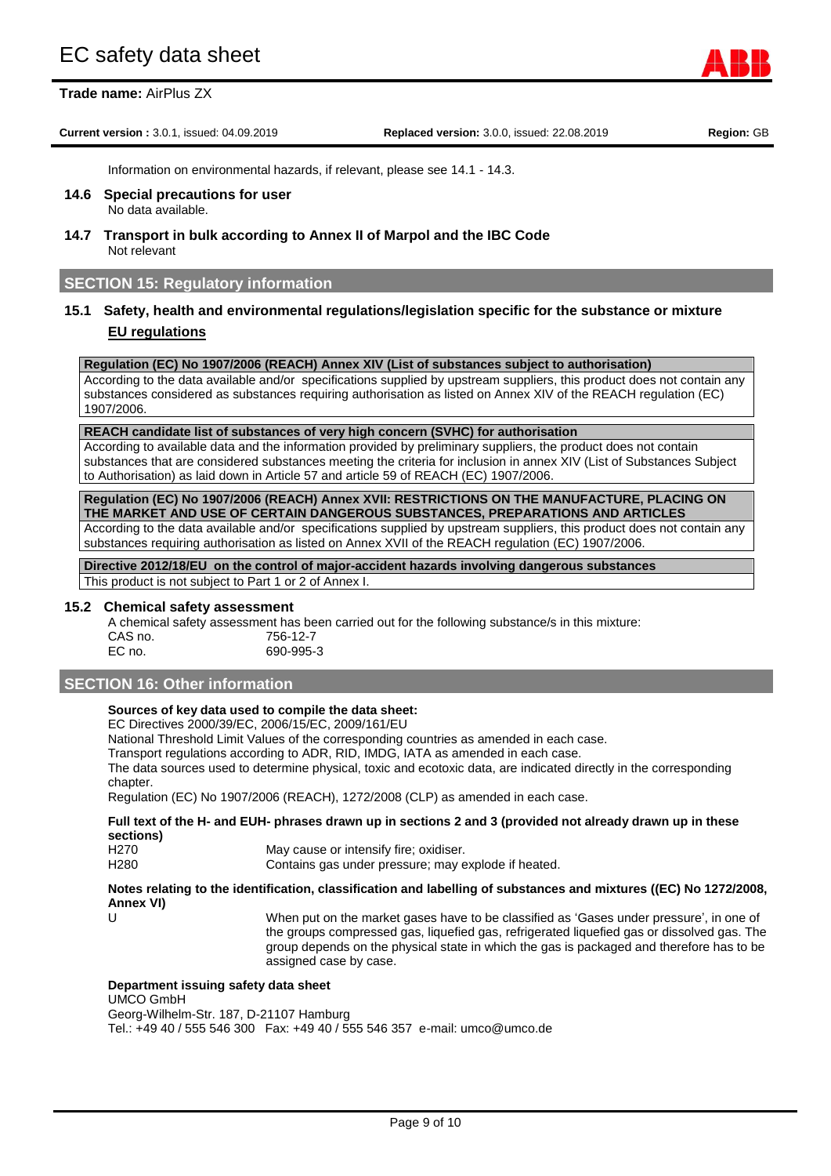**Trade name:** AirPlus ZX

**Current version :** 3.0.1, issued: 04.09.2019 **Replaced version:** 3.0.0, issued: 22.08.2019 **Region:** GB

Page 9 of 10

Information on environmental hazards, if relevant, please see 14.1 - 14.3.

- **14.6 Special precautions for user** No data available.
- **14.7 Transport in bulk according to Annex II of Marpol and the IBC Code** Not relevant

#### **SECTION 15: Regulatory information**

# **15.1 Safety, health and environmental regulations/legislation specific for the substance or mixture EU regulations**

**Regulation (EC) No 1907/2006 (REACH) Annex XIV (List of substances subject to authorisation)** 

According to the data available and/or specifications supplied by upstream suppliers, this product does not contain any substances considered as substances requiring authorisation as listed on Annex XIV of the REACH regulation (EC) 1907/2006.

#### **REACH candidate list of substances of very high concern (SVHC) for authorisation**

According to available data and the information provided by preliminary suppliers, the product does not contain substances that are considered substances meeting the criteria for inclusion in annex XIV (List of Substances Subject to Authorisation) as laid down in Article 57 and article 59 of REACH (EC) 1907/2006.

**Regulation (EC) No 1907/2006 (REACH) Annex XVII: RESTRICTIONS ON THE MANUFACTURE, PLACING ON THE MARKET AND USE OF CERTAIN DANGEROUS SUBSTANCES, PREPARATIONS AND ARTICLES**

According to the data available and/or specifications supplied by upstream suppliers, this product does not contain any substances requiring authorisation as listed on Annex XVII of the REACH regulation (EC) 1907/2006.

**Directive 2012/18/EU on the control of major-accident hazards involving dangerous substances** This product is not subject to Part 1 or 2 of Annex I.

#### **15.2 Chemical safety assessment**

A chemical safety assessment has been carried out for the following substance/s in this mixture: CAS no. 756-12-7<br>EC no. 690-995-EC no. 690-995-3

#### **SECTION 16: Other information**

### **Sources of key data used to compile the data sheet:**

EC Directives 2000/39/EC, 2006/15/EC, 2009/161/EU

National Threshold Limit Values of the corresponding countries as amended in each case.

Transport regulations according to ADR, RID, IMDG, IATA as amended in each case.

The data sources used to determine physical, toxic and ecotoxic data, are indicated directly in the corresponding chapter.

Regulation (EC) No 1907/2006 (REACH), 1272/2008 (CLP) as amended in each case.

#### **Full text of the H- and EUH- phrases drawn up in sections 2 and 3 (provided not already drawn up in these sections)**

| H270 | May cause or intensify fire; oxidiser.              |
|------|-----------------------------------------------------|
| H280 | Contains gas under pressure; may explode if heated. |

#### **Notes relating to the identification, classification and labelling of substances and mixtures ((EC) No 1272/2008, Annex VI)**

U When put on the market gases have to be classified as 'Gases under pressure', in one of the groups compressed gas, liquefied gas, refrigerated liquefied gas or dissolved gas. The group depends on the physical state in which the gas is packaged and therefore has to be assigned case by case.

#### **Department issuing safety data sheet**

UMCO GmbH Georg-Wilhelm-Str. 187, D-21107 Hamburg

Tel.: +49 40 / 555 546 300 Fax: +49 40 / 555 546 357 e-mail: umco@umco.de